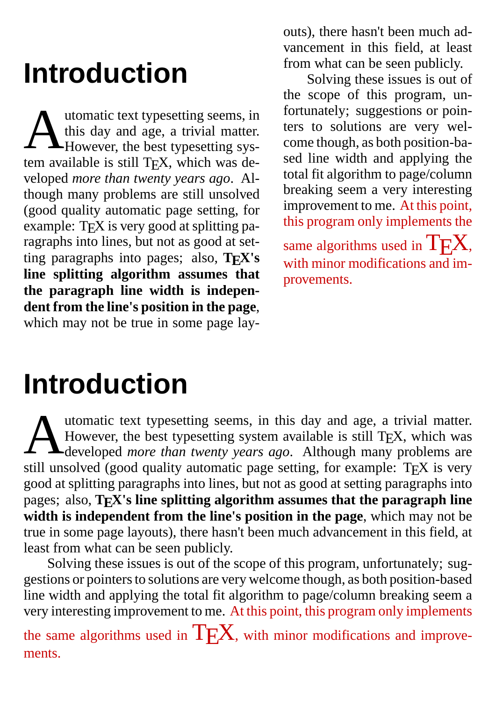# **Introduction**

Mutomatic text typesetting seems, in<br>this day and age, a trivial matter.<br>However, the best typesetting sysutomatic text typesetting seems, in this day and age, a trivial matter. tem available is still TE X, which was developed *more than twenty years ago*. Although many problems are still unsolved (good quality automatic page setting, for example: TE X is very good at splitting paragraphs into lines, but not as good at setting paragraphs into pages; also, **TE X's line splitting algorithm assumes that the paragraph line width is independent from the line's position in the page**, which may not be true in some page layouts), there hasn't been much advancement in this field, at least from what can be seen publicly.

Solving these issues is out of the scope of this program, unfortunately; suggestions or pointers to solutions are very welcome though, as both position-based line width and applying the total fit algorithm to page/column breaking seem a very interesting improvement to me. At this point, this program only implements the same algorithms used in  $T_{E}X$ , with minor modifications and improvements.

# **Introduction**

A utomatic text typesetting seems, in this day and age, a trivial matter. However, the best typesetting system available is still TEX, which was developed *more than twenty years ago*. Although many problems are still unsolved (good quality automatic page setting, for example: TEX is very good at splitting paragraphs into lines, but not as good at setting paragraphs into pages; also, **TE X's line splitting algorithm assumes that the paragraph line width is independent from the line's position in the page**, which may not be true in some page layouts), there hasn't been much advancement in this field, at least from what can be seen publicly.

Solving these issues is out of the scope of this program, unfortunately; suggestions or pointers to solutions are very welcome though, as both position-based line width and applying the total fit algorithm to page/column breaking seem a very interesting improvement to me. At this point, this program only implements

the same algorithms used in  $T_{E}X$ , with minor modifications and improvements.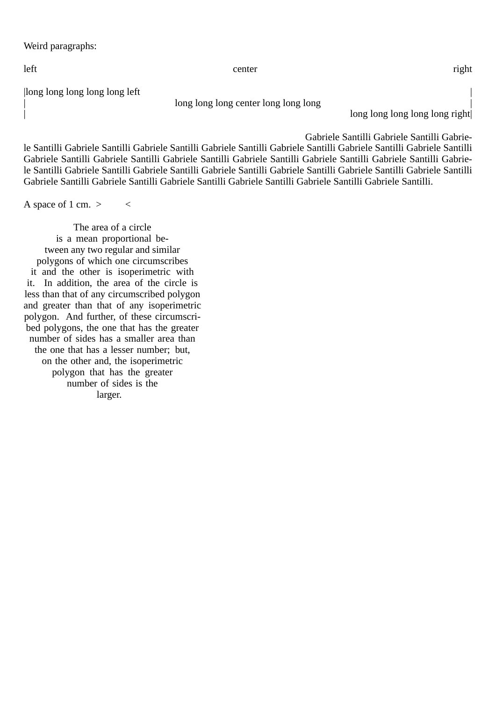Weird paragraphs:

|long long long long long left |

long long long center long long long

| long long long long long long long right|

Gabriele Santilli Gabriele Santilli Gabrie-

le Santilli Gabriele Santilli Gabriele Santilli Gabriele Santilli Gabriele Santilli Gabriele Santilli Gabriele Santilli Gabriele Santilli Gabriele Santilli Gabriele Santilli Gabriele Santilli Gabriele Santilli Gabriele Santilli Gabriele Santilli Gabriele Santilli Gabriele Santilli Gabriele Santilli Gabriele Santilli Gabriele Santilli Gabriele Santilli Gabriele Santilli Gabriele Santilli Gabriele Santilli Gabriele Santilli Gabriele Santilli Gabriele Santilli.

A space of 1 cm.  $>$  <

The area of a circle is a mean proportional between any two regular and similar polygons of which one circumscribes it and the other is isoperimetric with it. In addition, the area of the circle is less than that of any circumscribed polygon and greater than that of any isoperimetric polygon. And further, of these circumscribed polygons, the one that has the greater number of sides has a smaller area than the one that has a lesser number; but, on the other and, the isoperimetric polygon that has the greater number of sides is the larger.

left enter center center and the right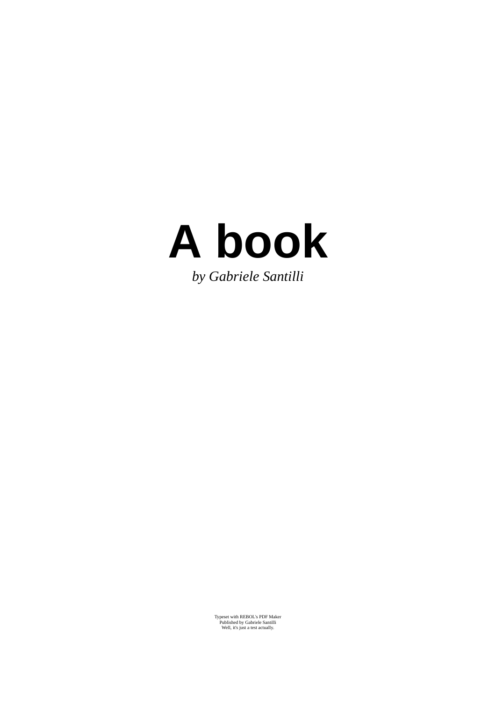

Typeset with REBOL's PDF Maker Published by Gabriele Santilli Well, it's just a test actually.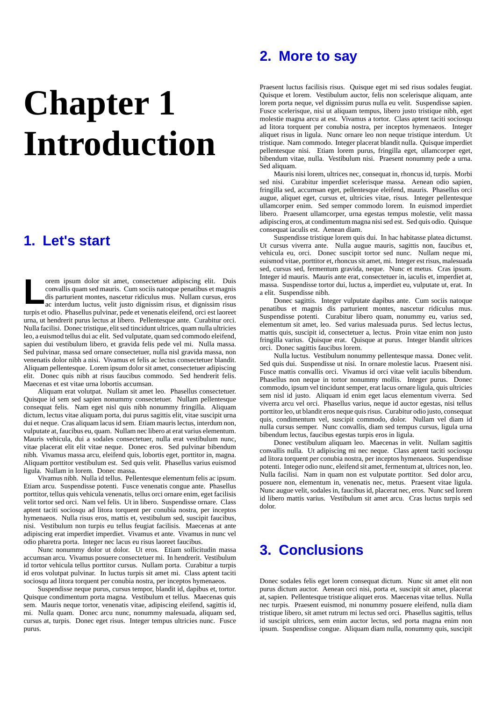# **Chapter 1 Introduction**

## **1. Let's start**

**L** orem ipsum dolor sit amet, consectetuer adipiscing elit. Duis convallis quam sed mauris. Cum sociis natoque penatibus et magnis dis parturient montes, nascetur ridiculus mus. Nullam cursus, eros ac interdum luctus, velit justo dignissim risus, et dignissim risus turpis et odio. Phasellus pulvinar, pede et venenatis eleifend, orci est laoreet urna, ut hendrerit purus lectus at libero. Pellentesque ante. Curabitur orci. Nulla facilisi. Donec tristique, elit sed tincidunt ultrices, quam nulla ultricies leo, a euismod tellus dui ac elit. Sed vulputate, quam sed commodo eleifend, sapien dui vestibulum libero, et gravida felis pede vel mi. Nulla massa. Sed pulvinar, massa sed ornare consectetuer, nulla nisl gravida massa, non venenatis dolor nibh a nisi. Vivamus et felis ac lectus consectetuer blandit. Aliquam pellentesque. Lorem ipsum dolor sit amet, consectetuer adipiscing elit. Donec quis nibh at risus faucibus commodo. Sed hendrerit felis. Maecenas et est vitae urna lobortis accumsan.

Aliquam erat volutpat. Nullam sit amet leo. Phasellus consectetuer. Quisque id sem sed sapien nonummy consectetuer. Nullam pellentesque consequat felis. Nam eget nisl quis nibh nonummy fringilla. Aliquam dictum, lectus vitae aliquam porta, dui purus sagittis elit, vitae suscipit urna dui et neque. Cras aliquam lacus id sem. Etiam mauris lectus, interdum non, vulputate at, faucibus eu, quam. Nullam nec libero at erat varius elementum. Mauris vehicula, dui a sodales consectetuer, nulla erat vestibulum nunc, vitae placerat elit elit vitae neque. Donec eros. Sed pulvinar bibendum nibh. Vivamus massa arcu, eleifend quis, lobortis eget, porttitor in, magna. Aliquam porttitor vestibulum est. Sed quis velit. Phasellus varius euismod ligula. Nullam in lorem. Donec massa.

Vivamus nibh. Nulla id tellus. Pellentesque elementum felis ac ipsum. Etiam arcu. Suspendisse potenti. Fusce venenatis congue ante. Phasellus porttitor, tellus quis vehicula venenatis, tellus orci ornare enim, eget facilisis velit tortor sed orci. Nam vel felis. Ut in libero. Suspendisse ornare. Class aptent taciti sociosqu ad litora torquent per conubia nostra, per inceptos hymenaeos. Nulla risus eros, mattis et, vestibulum sed, suscipit faucibus, nisi. Vestibulum non turpis eu tellus feugiat facilisis. Maecenas at ante adipiscing erat imperdiet imperdiet. Vivamus et ante. Vivamus in nunc vel odio pharetra porta. Integer nec lacus eu risus laoreet faucibus.

Nunc nonummy dolor ut dolor. Ut eros. Etiam sollicitudin massa accumsan arcu. Vivamus posuere consectetuer mi. In hendrerit. Vestibulum id tortor vehicula tellus porttitor cursus. Nullam porta. Curabitur a turpis id eros volutpat pulvinar. In luctus turpis sit amet mi. Class aptent taciti sociosqu ad litora torquent per conubia nostra, per inceptos hymenaeos.

Suspendisse neque purus, cursus tempor, blandit id, dapibus et, tortor. Quisque condimentum porta magna. Vestibulum et tellus. Maecenas quis sem. Mauris neque tortor, venenatis vitae, adipiscing eleifend, sagittis id, mi. Nulla quam. Donec arcu nunc, nonummy malesuada, aliquam sed, cursus at, turpis. Donec eget risus. Integer tempus ultricies nunc. Fusce purus.

### **2. More to say**

Praesent luctus facilisis risus. Quisque eget mi sed risus sodales feugiat. Quisque et lorem. Vestibulum auctor, felis non scelerisque aliquam, ante lorem porta neque, vel dignissim purus nulla eu velit. Suspendisse sapien. Fusce scelerisque, nisi ut aliquam tempus, libero justo tristique nibh, eget molestie magna arcu at est. Vivamus a tortor. Class aptent taciti sociosqu ad litora torquent per conubia nostra, per inceptos hymenaeos. Integer aliquet risus in ligula. Nunc ornare leo non neque tristique interdum. Ut tristique. Nam commodo. Integer placerat blandit nulla. Quisque imperdiet pellentesque nisi. Etiam lorem purus, fringilla eget, ullamcorper eget, bibendum vitae, nulla. Vestibulum nisi. Praesent nonummy pede a urna. Sed aliquam.

Mauris nisi lorem, ultrices nec, consequat in, rhoncus id, turpis. Morbi sed nisi. Curabitur imperdiet scelerisque massa. Aenean odio sapien, fringilla sed, accumsan eget, pellentesque eleifend, mauris. Phasellus orci augue, aliquet eget, cursus et, ultricies vitae, risus. Integer pellentesque ullamcorper enim. Sed semper commodo lorem. In euismod imperdiet libero. Praesent ullamcorper, urna egestas tempus molestie, velit massa adipiscing eros, at condimentum magna nisi sed est. Sed quis odio. Quisque consequat iaculis est. Aenean diam.

Suspendisse tristique lorem quis dui. In hac habitasse platea dictumst. Ut cursus viverra ante. Nulla augue mauris, sagittis non, faucibus et, vehicula eu, orci. Donec suscipit tortor sed nunc. Nullam neque mi, euismod vitae, porttitor et, rhoncus sit amet, mi. Integer est risus, malesuada sed, cursus sed, fermentum gravida, neque. Nunc et metus. Cras ipsum. Integer id mauris. Mauris ante erat, consectetuer in, iaculis et, imperdiet at, massa. Suspendisse tortor dui, luctus a, imperdiet eu, vulputate ut, erat. In a elit. Suspendisse nibh.

Donec sagittis. Integer vulputate dapibus ante. Cum sociis natoque penatibus et magnis dis parturient montes, nascetur ridiculus mus. Suspendisse potenti. Curabitur libero quam, nonummy eu, varius sed, elementum sit amet, leo. Sed varius malesuada purus. Sed lectus lectus, mattis quis, suscipit id, consectetuer a, lectus. Proin vitae enim non justo fringilla varius. Quisque erat. Quisque at purus. Integer blandit ultrices orci. Donec sagittis faucibus lorem.

Nulla luctus. Vestibulum nonummy pellentesque massa. Donec velit. Sed quis dui. Suspendisse ut nisi. In ornare molestie lacus. Praesent nisi. Fusce mattis convallis orci. Vivamus id orci vitae velit iaculis bibendum. Phasellus non neque in tortor nonummy mollis. Integer purus. Donec commodo, ipsum vel tincidunt semper, erat lacus ornare ligula, quis ultricies sem nisl id justo. Aliquam id enim eget lacus elementum viverra. Sed viverra arcu vel orci. Phasellus varius, neque id auctor egestas, nisi tellus porttitor leo, ut blandit eros neque quis risus. Curabitur odio justo, consequat quis, condimentum vel, suscipit commodo, dolor. Nullam vel diam id nulla cursus semper. Nunc convallis, diam sed tempus cursus, ligula urna bibendum lectus, faucibus egestas turpis eros in ligula.

Donec vestibulum aliquam leo. Maecenas in velit. Nullam sagittis convallis nulla. Ut adipiscing mi nec neque. Class aptent taciti sociosqu ad litora torquent per conubia nostra, per inceptos hymenaeos. Suspendisse potenti. Integer odio nunc, eleifend sit amet, fermentum at, ultrices non, leo. Nulla facilisi. Nam in quam non est vulputate porttitor. Sed dolor arcu, posuere non, elementum in, venenatis nec, metus. Praesent vitae ligula. Nunc augue velit, sodales in, faucibus id, placerat nec, eros. Nunc sed lorem id libero mattis varius. Vestibulum sit amet arcu. Cras luctus turpis sed dolor.

## **3. Conclusions**

Donec sodales felis eget lorem consequat dictum. Nunc sit amet elit non purus dictum auctor. Aenean orci nisi, porta et, suscipit sit amet, placerat at, sapien. Pellentesque tristique aliquet eros. Maecenas vitae tellus. Nulla nec turpis. Praesent euismod, mi nonummy posuere eleifend, nulla diam tristique libero, sit amet rutrum mi lectus sed orci. Phasellus sagittis, tellus id suscipit ultrices, sem enim auctor lectus, sed porta magna enim non ipsum. Suspendisse congue. Aliquam diam nulla, nonummy quis, suscipit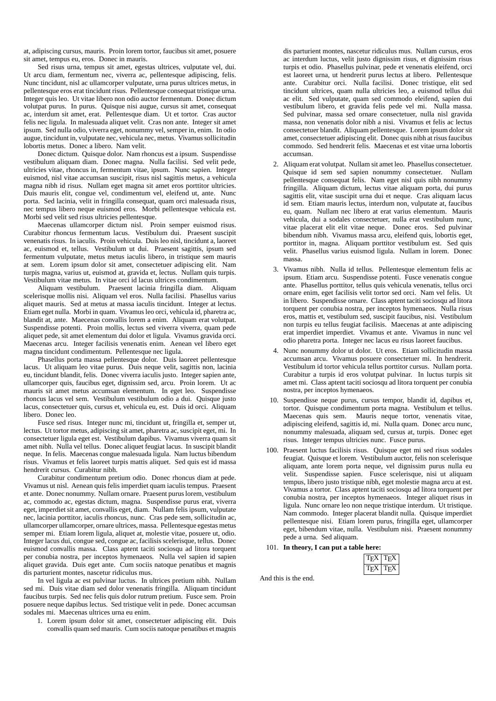at, adipiscing cursus, mauris. Proin lorem tortor, faucibus sit amet, posuere sit amet, tempus eu, eros. Donec in mauris.

Sed risus urna, tempus sit amet, egestas ultrices, vulputate vel, dui. Ut arcu diam, fermentum nec, viverra ac, pellentesque adipiscing, felis. Nunc tincidunt, nisl ac ullamcorper vulputate, urna purus ultrices metus, in pellentesque eros erat tincidunt risus. Pellentesque consequat tristique urna. Integer quis leo. Ut vitae libero non odio auctor fermentum. Donec dictum volutpat purus. In purus. Quisque nisi augue, cursus sit amet, consequat ac, interdum sit amet, erat. Pellentesque diam. Ut et tortor. Cras auctor felis nec ligula. In malesuada aliquet velit. Cras non ante. Integer sit amet ipsum. Sed nulla odio, viverra eget, nonummy vel, semper in, enim. In odio augue, tincidunt in, vulputate nec, vehicula nec, metus. Vivamus sollicitudin lobortis metus. Donec a libero. Nam velit.

Donec dictum. Quisque dolor. Nam rhoncus est a ipsum. Suspendisse vestibulum aliquam diam. Donec magna. Nulla facilisi. Sed velit pede, ultricies vitae, rhoncus in, fermentum vitae, ipsum. Nunc sapien. Integer euismod, nisl vitae accumsan suscipit, risus nisl sagittis metus, a vehicula magna nibh id risus. Nullam eget magna sit amet eros porttitor ultricies. Duis mauris elit, congue vel, condimentum vel, eleifend ut, ante. Nunc porta. Sed lacinia, velit in fringilla consequat, quam orci malesuada risus, nec tempus libero neque euismod eros. Morbi pellentesque vehicula est. Morbi sed velit sed risus ultricies pellentesque.

Maecenas ullamcorper dictum nisl. Proin semper euismod risus. Curabitur rhoncus fermentum lacus. Vestibulum dui. Praesent suscipit venenatis risus. In iaculis. Proin vehicula. Duis leo nisl, tincidunt a, laoreet ac, euismod et, tellus. Vestibulum ut dui. Praesent sagittis, ipsum sed fermentum vulputate, metus metus iaculis libero, in tristique sem mauris at sem. Lorem ipsum dolor sit amet, consectetuer adipiscing elit. Nam turpis magna, varius ut, euismod at, gravida et, lectus. Nullam quis turpis. Vestibulum vitae metus. In vitae orci id lacus ultrices condimentum.

Aliquam vestibulum. Praesent lacinia fringilla diam. Aliquam scelerisque mollis nisi. Aliquam vel eros. Nulla facilisi. Phasellus varius aliquet mauris. Sed at metus at massa iaculis tincidunt. Integer at lectus. Etiam eget nulla. Morbi in quam. Vivamus leo orci, vehicula id, pharetra ac, blandit at, ante. Maecenas convallis lorem a enim. Aliquam erat volutpat. Suspendisse potenti. Proin mollis, lectus sed viverra viverra, quam pede aliquet pede, sit amet elementum dui dolor et ligula. Vivamus gravida orci. Maecenas arcu. Integer facilisis venenatis enim. Aenean vel libero eget magna tincidunt condimentum. Pellentesque nec ligula.

Phasellus porta massa pellentesque dolor. Duis laoreet pellentesque lacus. Ut aliquam leo vitae purus. Duis neque velit, sagittis non, lacinia eu, tincidunt blandit, felis. Donec viverra iaculis justo. Integer sapien ante, ullamcorper quis, faucibus eget, dignissim sed, arcu. Proin lorem. Ut ac mauris sit amet metus accumsan elementum. In eget leo. Suspendisse rhoncus lacus vel sem. Vestibulum vestibulum odio a dui. Quisque justo lacus, consectetuer quis, cursus et, vehicula eu, est. Duis id orci. Aliquam libero. Donec leo.

Fusce sed risus. Integer nunc mi, tincidunt ut, fringilla et, semper ut, lectus. Ut tortor metus, adipiscing sit amet, pharetra ac, suscipit eget, mi. In consectetuer ligula eget est. Vestibulum dapibus. Vivamus viverra quam sit amet nibh. Nulla vel tellus. Donec aliquet feugiat lacus. In suscipit blandit neque. In felis. Maecenas congue malesuada ligula. Nam luctus bibendum risus. Vivamus et felis laoreet turpis mattis aliquet. Sed quis est id massa hendrerit cursus. Curabitur nibh.

Curabitur condimentum pretium odio. Donec rhoncus diam at pede. Vivamus ut nisl. Aenean quis felis imperdiet quam iaculis tempus. Praesent et ante. Donec nonummy. Nullam ornare. Praesent purus lorem, vestibulum ac, commodo ac, egestas dictum, magna. Suspendisse purus erat, viverra eget, imperdiet sit amet, convallis eget, diam. Nullam felis ipsum, vulputate nec, lacinia porttitor, iaculis rhoncus, nunc. Cras pede sem, sollicitudin ac, ullamcorper ullamcorper, ornare ultrices, massa. Pellentesque egestas metus semper mi. Etiam lorem ligula, aliquet at, molestie vitae, posuere ut, odio. Integer lacus dui, congue sed, congue ac, facilisis scelerisque, tellus. Donec euismod convallis massa. Class aptent taciti sociosqu ad litora torquent per conubia nostra, per inceptos hymenaeos. Nulla vel sapien id sapien aliquet gravida. Duis eget ante. Cum sociis natoque penatibus et magnis dis parturient montes, nascetur ridiculus mus.

In vel ligula ac est pulvinar luctus. In ultrices pretium nibh. Nullam sed mi. Duis vitae diam sed dolor venenatis fringilla. Aliquam tincidunt faucibus turpis. Sed nec felis quis dolor rutrum pretium. Fusce sem. Proin posuere neque dapibus lectus. Sed tristique velit in pede. Donec accumsan sodales mi. Maecenas ultrices urna eu enim.

1. Lorem ipsum dolor sit amet, consectetuer adipiscing elit. Duis convallis quam sed mauris. Cum sociis natoque penatibus et magnis

dis parturient montes, nascetur ridiculus mus. Nullam cursus, eros ac interdum luctus, velit justo dignissim risus, et dignissim risus turpis et odio. Phasellus pulvinar, pede et venenatis eleifend, orci est laoreet urna, ut hendrerit purus lectus at libero. Pellentesque ante. Curabitur orci. Nulla facilisi. Donec tristique, elit sed tincidunt ultrices, quam nulla ultricies leo, a euismod tellus dui ac elit. Sed vulputate, quam sed commodo eleifend, sapien dui vestibulum libero, et gravida felis pede vel mi. Nulla massa. Sed pulvinar, massa sed ornare consectetuer, nulla nisl gravida massa, non venenatis dolor nibh a nisi. Vivamus et felis ac lectus consectetuer blandit. Aliquam pellentesque. Lorem ipsum dolor sit amet, consectetuer adipiscing elit. Donec quis nibh at risus faucibus commodo. Sed hendrerit felis. Maecenas et est vitae urna lobortis accumsan.

- 2. Aliquam erat volutpat. Nullam sit amet leo. Phasellus consectetuer. Quisque id sem sed sapien nonummy consectetuer. Nullam pellentesque consequat felis. Nam eget nisl quis nibh nonummy fringilla. Aliquam dictum, lectus vitae aliquam porta, dui purus sagittis elit, vitae suscipit urna dui et neque. Cras aliquam lacus id sem. Etiam mauris lectus, interdum non, vulputate at, faucibus eu, quam. Nullam nec libero at erat varius elementum. Mauris vehicula, dui a sodales consectetuer, nulla erat vestibulum nunc, vitae placerat elit elit vitae neque. Donec eros. Sed pulvinar bibendum nibh. Vivamus massa arcu, eleifend quis, lobortis eget, porttitor in, magna. Aliquam porttitor vestibulum est. Sed quis velit. Phasellus varius euismod ligula. Nullam in lorem. Donec massa.
- 3. Vivamus nibh. Nulla id tellus. Pellentesque elementum felis ac ipsum. Etiam arcu. Suspendisse potenti. Fusce venenatis congue ante. Phasellus porttitor, tellus quis vehicula venenatis, tellus orci ornare enim, eget facilisis velit tortor sed orci. Nam vel felis. Ut in libero. Suspendisse ornare. Class aptent taciti sociosqu ad litora torquent per conubia nostra, per inceptos hymenaeos. Nulla risus eros, mattis et, vestibulum sed, suscipit faucibus, nisi. Vestibulum non turpis eu tellus feugiat facilisis. Maecenas at ante adipiscing erat imperdiet imperdiet. Vivamus et ante. Vivamus in nunc vel odio pharetra porta. Integer nec lacus eu risus laoreet faucibus.
- 4. Nunc nonummy dolor ut dolor. Ut eros. Etiam sollicitudin massa accumsan arcu. Vivamus posuere consectetuer mi. In hendrerit. Vestibulum id tortor vehicula tellus porttitor cursus. Nullam porta. Curabitur a turpis id eros volutpat pulvinar. In luctus turpis sit amet mi. Class aptent taciti sociosqu ad litora torquent per conubia nostra, per inceptos hymenaeos.
- 10. Suspendisse neque purus, cursus tempor, blandit id, dapibus et, tortor. Quisque condimentum porta magna. Vestibulum et tellus. Maecenas quis sem. Mauris neque tortor, venenatis vitae, adipiscing eleifend, sagittis id, mi. Nulla quam. Donec arcu nunc, nonummy malesuada, aliquam sed, cursus at, turpis. Donec eget risus. Integer tempus ultricies nunc. Fusce purus.
- 100. Praesent luctus facilisis risus. Quisque eget mi sed risus sodales feugiat. Quisque et lorem. Vestibulum auctor, felis non scelerisque aliquam, ante lorem porta neque, vel dignissim purus nulla eu velit. Suspendisse sapien. Fusce scelerisque, nisi ut aliquam tempus, libero justo tristique nibh, eget molestie magna arcu at est. Vivamus a tortor. Class aptent taciti sociosqu ad litora torquent per conubia nostra, per inceptos hymenaeos. Integer aliquet risus in ligula. Nunc ornare leo non neque tristique interdum. Ut tristique. Nam commodo. Integer placerat blandit nulla. Quisque imperdiet pellentesque nisi. Etiam lorem purus, fringilla eget, ullamcorper eget, bibendum vitae, nulla. Vestibulum nisi. Praesent nonummy pede a urna. Sed aliquam.
- 101. **In theory, I can put a table here:**

And this is the end.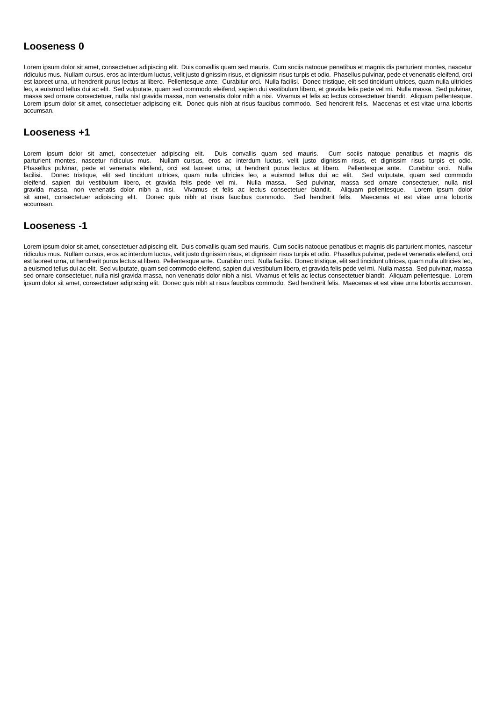#### **Looseness 0**

Lorem ipsum dolor sit amet, consectetuer adipiscing elit. Duis convallis quam sed mauris. Cum sociis natoque penatibus et magnis dis parturient montes, nascetur ridiculus mus. Nullam cursus, eros ac interdum luctus, velit justo dignissim risus, et dignissim risus turpis et odio. Phasellus pulvinar, pede et venenatis eleifend, orci est laoreet urna, ut hendrerit purus lectus at libero. Pellentesque ante. Curabitur orci. Nulla facilisi. Donec tristique, elit sed tincidunt ultrices, quam nulla ultricies leo, a euismod tellus dui ac elit. Sed vulputate, quam sed commodo eleifend, sapien dui vestibulum libero, et gravida felis pede vel mi. Nulla massa. Sed pulvinar, massa sed ornare consectetuer, nulla nisl gravida massa, non venenatis dolor nibh a nisi. Vivamus et felis ac lectus consectetuer blandit. Aliquam pellentesque. Lorem ipsum dolor sit amet, consectetuer adipiscing elit. Donec quis nibh at risus faucibus commodo. Sed hendrerit felis. Maecenas et est vitae urna lobortis accumsan.

#### **Looseness +1**

Lorem ipsum dolor sit amet, consectetuer adipiscing elit. Duis convallis quam sed mauris. Cum sociis natoque penatibus et magnis dis parturient montes, nascetur ridiculus mus. Nullam cursus, eros ac interdum luctus, velit justo dignissim risus, et dignissim risus turpis et odio. Phasellus pulvinar, pede et venenatis eleifend, orci est laoreet urna, ut hendrerit purus lectus at libero. Pellentesque ante. Curabitur orci. Nulla facilisi. Donec tristique, elit sed tincidunt ultrices, quam nulla ultricies leo, a euismod tellus dui ac elit. Sed vulputate, quam sed commodo eleifend, sapien dui vestibulum libero, et gravida felis pede vel mi. Nulla massa. Sed pulvinar, massa sed ornare consectetuer, nulla nisl gravida massa, non venenatis dolor nibh a nisi. Vivamus et felis ac lectus consectetuer blandit. Aliquam pellentesque. Lorem ipsum dolor sit amet, consectetuer adipiscing elit. Donec quis nibh at risus faucibus commodo. Sed hendrerit felis. Maecenas et est vitae urna lobortis accumsan.

#### **Looseness -1**

Lorem ipsum dolor sit amet, consectetuer adipiscing elit. Duis convallis quam sed mauris. Cum sociis natoque penatibus et magnis dis parturient montes, nascetur ridiculus mus. Nullam cursus, eros ac interdum luctus, velit justo dignissim risus, et dignissim risus turpis et odio. Phasellus pulvinar, pede et venenatis eleifend, orci est laoreet urna, ut hendrerit purus lectus at libero. Pellentesque ante. Curabitur orci. Nulla facilisi. Donec tristique, elit sed tincidunt ultrices, quam nulla ultricies leo, a euismod tellus dui ac elit. Sed vulputate, quam sed commodo eleifend, sapien dui vestibulum libero, et gravida felis pede vel mi. Nulla massa. Sed pulvinar, massa sed ornare consectetuer, nulla nisl gravida massa, non venenatis dolor nibh a nisi. Vivamus et felis ac lectus consectetuer blandit. Aliquam pellentesque. Lorem ipsum dolor sit amet, consectetuer adipiscing elit. Donec quis nibh at risus faucibus commodo. Sed hendrerit felis. Maecenas et est vitae urna lobortis accumsan.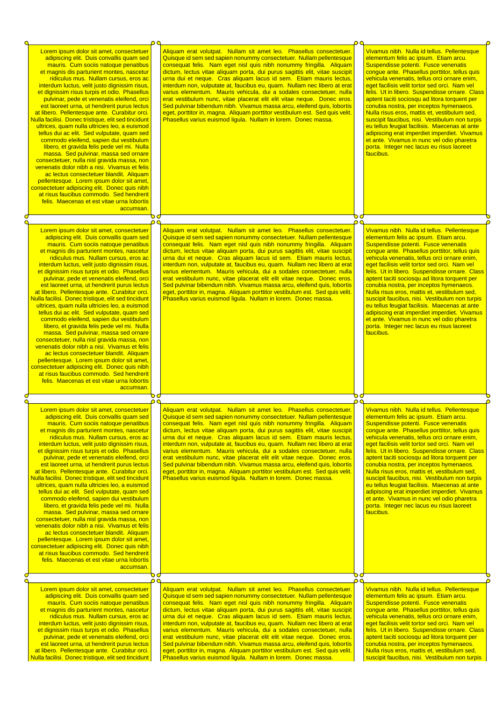| Lorem ipsum dolor sit amet, consectetuer<br>adipiscing elit. Duis convallis quam sed<br>mauris. Cum sociis natoque penatibus<br>et magnis dis parturient montes, nascetur<br>ridiculus mus. Nullam cursus, eros ac<br>interdum luctus, velit justo dignissim risus,<br>et dignissim risus turpis et odio. Phasellus<br>pulvinar, pede et venenatis eleifend, orci<br>est laoreet urna, ut hendrerit purus lectus<br>at libero. Pellentesque ante. Curabitur orci.<br>Nulla facilisi. Donec tristique, elit sed tincidunt<br>ultrices, quam nulla ultricies leo, a euismod<br>tellus dui ac elit. Sed vulputate, quam sed<br>commodo eleifend, sapien dui vestibulum<br>libero, et gravida felis pede vel mi. Nulla<br>massa. Sed pulvinar, massa sed ornare<br>consectetuer, nulla nisl gravida massa, non<br>venenatis dolor nibh a nisi. Vivamus et felis<br>ac lectus consectetuer blandit. Aliquam<br>pellentesque. Lorem ipsum dolor sit amet,<br>consectetuer adipiscing elit. Donec quis nibh<br>at risus faucibus commodo. Sed hendrerit<br>felis. Maecenas et est vitae urna lobortis<br>accumsan  |                | Aliquam erat volutpat. Nullam sit amet leo. Phasellus consectetuer.<br>Quisque id sem sed sapien nonummy consectetuer. Nullam pellentesque<br>consequat felis. Nam eget nisl quis nibh nonummy fringilla. Aliquam<br>dictum, lectus vitae aliquam porta, dui purus sagittis elit, vitae suscipit<br>urna dui et neque. Cras aliquam lacus id sem. Etiam mauris lectus,<br>interdum non, vulputate at, faucibus eu, quam. Nullam nec libero at erat<br>varius elementum. Mauris vehicula, dui a sodales consectetuer, nulla<br>erat vestibulum nunc, vitae placerat elit elit vitae neque. Donec eros.<br>Sed pulvinar bibendum nibh. Vivamus massa arcu, eleifend quis, lobortis<br>eget, porttitor in, magna. Aliquam porttitor vestibulum est. Sed quis velit.<br>Phasellus varius euismod liqula. Nullam in lorem. Donec massa. |                         | Vivamus nibh. Nulla id tellus. Pellentesque<br>elementum felis ac ipsum. Etiam arcu.<br>Suspendisse potenti. Fusce venenatis<br>congue ante. Phasellus porttitor, tellus quis<br>vehicula venenatis, tellus orci ornare enim,<br>eget facilisis velit tortor sed orci. Nam vel<br>felis. Ut in libero. Suspendisse ornare. Class<br>aptent taciti sociosqu ad litora torquent per<br>conubia nostra, per inceptos hymenaeos.<br>Nulla risus eros, mattis et, vestibulum sed,<br>suscipit faucibus, nisi. Vestibulum non turpis<br>eu tellus feugiat facilisis. Maecenas at ante<br>adipiscing erat imperdiet imperdiet. Vivamus<br>et ante. Vivamus in nunc vel odio pharetra<br>porta. Integer nec lacus eu risus laoreet<br>faucibus. |  |
|-------------------------------------------------------------------------------------------------------------------------------------------------------------------------------------------------------------------------------------------------------------------------------------------------------------------------------------------------------------------------------------------------------------------------------------------------------------------------------------------------------------------------------------------------------------------------------------------------------------------------------------------------------------------------------------------------------------------------------------------------------------------------------------------------------------------------------------------------------------------------------------------------------------------------------------------------------------------------------------------------------------------------------------------------------------------------------------------------------------|----------------|------------------------------------------------------------------------------------------------------------------------------------------------------------------------------------------------------------------------------------------------------------------------------------------------------------------------------------------------------------------------------------------------------------------------------------------------------------------------------------------------------------------------------------------------------------------------------------------------------------------------------------------------------------------------------------------------------------------------------------------------------------------------------------------------------------------------------------|-------------------------|-----------------------------------------------------------------------------------------------------------------------------------------------------------------------------------------------------------------------------------------------------------------------------------------------------------------------------------------------------------------------------------------------------------------------------------------------------------------------------------------------------------------------------------------------------------------------------------------------------------------------------------------------------------------------------------------------------------------------------------------|--|
|                                                                                                                                                                                                                                                                                                                                                                                                                                                                                                                                                                                                                                                                                                                                                                                                                                                                                                                                                                                                                                                                                                             | οo<br>$\Omega$ |                                                                                                                                                                                                                                                                                                                                                                                                                                                                                                                                                                                                                                                                                                                                                                                                                                    | $\mathsf{D} \mathsf{C}$ |                                                                                                                                                                                                                                                                                                                                                                                                                                                                                                                                                                                                                                                                                                                                         |  |
| Lorem ipsum dolor sit amet, consectetuer<br>adipiscing elit. Duis convallis quam sed<br>mauris. Cum sociis natoque penatibus<br>et magnis dis parturient montes, nascetur<br>ridiculus mus. Nullam cursus, eros ac<br>interdum luctus, velit justo dignissim risus,<br>et dignissim risus turpis et odio. Phasellus<br>pulvinar, pede et venenatis eleifend, orci<br>est laoreet urna, ut hendrerit purus lectus<br>at libero. Pellentesque ante. Curabitur orci.<br>Nulla facilisi. Donec tristique, elit sed tincidunt<br>ultrices, quam nulla ultricies leo, a euismod<br>tellus dui ac elit. Sed vulputate, quam sed<br>commodo eleifend, sapien dui vestibulum<br>libero, et gravida felis pede vel mi. Nulla<br>massa. Sed pulvinar, massa sed ornare<br>consectetuer, nulla nisl gravida massa, non<br>venenatis dolor nibh a nisi. Vivamus et felis<br>ac lectus consectetuer blandit. Aliquam<br>pellentesque. Lorem ipsum dolor sit amet,<br>consectetuer adipiscing elit. Donec quis nibh<br>at risus faucibus commodo. Sed hendrerit<br>felis. Maecenas et est vitae urna lobortis<br>accumsan. |                | Aliquam erat volutpat. Nullam sit amet leo. Phasellus consectetuer.<br>Quisque id sem sed sapien nonummy consectetuer. Nullam pellentesque<br>consequat felis. Nam eget nisl quis nibh nonummy fringilla. Aliquam<br>dictum, lectus vitae aliquam porta, dui purus sagittis elit, vitae suscipit<br>urna dui et neque. Cras aliquam lacus id sem. Etiam mauris lectus,<br>interdum non, vulputate at, faucibus eu, quam. Nullam nec libero at erat<br>varius elementum. Mauris vehicula, dui a sodales consectetuer, nulla<br>erat vestibulum nunc, vitae placerat elit elit vitae neque. Donec eros.<br>Sed pulvinar bibendum nibh. Vivamus massa arcu, eleifend quis, lobortis<br>eget, porttitor in, magna. Aliquam porttitor vestibulum est. Sed quis velit.<br>Phasellus varius euismod ligula. Nullam in lorem. Donec massa. |                         | Vivamus nibh. Nulla id tellus. Pellentesque<br>elementum felis ac ipsum. Etiam arcu.<br>Suspendisse potenti. Fusce venenatis<br>congue ante. Phasellus porttitor, tellus quis<br>vehicula venenatis, tellus orci ornare enim,<br>eget facilisis velit tortor sed orci. Nam vel<br>felis. Ut in libero. Suspendisse ornare. Class<br>aptent taciti sociosqu ad litora torquent per<br>conubia nostra, per inceptos hymenaeos.<br>Nulla risus eros, mattis et, vestibulum sed,<br>suscipit faucibus, nisi. Vestibulum non turpis<br>eu tellus feugiat facilisis. Maecenas at ante<br>adipiscing erat imperdiet imperdiet. Vivamus<br>et ante. Vivamus in nunc vel odio pharetra<br>porta. Integer nec lacus eu risus laoreet<br>faucibus. |  |
|                                                                                                                                                                                                                                                                                                                                                                                                                                                                                                                                                                                                                                                                                                                                                                                                                                                                                                                                                                                                                                                                                                             | 0 G<br>٥٥      |                                                                                                                                                                                                                                                                                                                                                                                                                                                                                                                                                                                                                                                                                                                                                                                                                                    | o۹                      |                                                                                                                                                                                                                                                                                                                                                                                                                                                                                                                                                                                                                                                                                                                                         |  |
| Lorem ipsum dolor sit amet, consectetuer<br>adipiscing elit. Duis convallis quam sed<br>mauris. Cum sociis natoque penatibus<br>et magnis dis parturient montes, nascetur<br>ridiculus mus. Nullam cursus, eros ac<br>interdum luctus, velit justo dignissim risus,<br>et dignissim risus turpis et odio. Phasellus<br>pulvinar, pede et venenatis eleifend, orci<br>est laoreet urna, ut hendrerit purus lectus<br>at libero. Pellentesque ante. Curabitur orci.<br>Nulla facilisi. Donec tristique, elit sed tincidunt<br>ultrices, quam nulla ultricies leo, a euismod<br>tellus dui ac elit. Sed vulputate, quam sed<br>commodo eleifend, sapien dui vestibulum<br>libero, et gravida felis pede vel mi. Nulla<br>massa. Sed pulvinar, massa sed ornare<br>consectetuer, nulla nisl gravida massa, non<br>venenatis dolor nibh a nisi. Vivamus et felis<br>ac lectus consectetuer blandit. Aliquam<br>pellentesque. Lorem ipsum dolor sit amet,<br>consectetuer adipiscing elit. Donec quis nibh<br>at risus faucibus commodo. Sed hendrerit<br>felis. Maecenas et est vitae urna lobortis<br>accumsan. |                | Aliguam erat volutpat. Nullam sit amet leo. Phasellus consectetuer.<br>Quisque id sem sed sapien nonummy consectetuer. Nullam pellentesque<br>consequat felis. Nam eget nisl quis nibh nonummy fringilla. Aliquam<br>dictum, lectus vitae aliquam porta, dui purus sagittis elit, vitae suscipit<br>urna dui et neque. Cras aliquam lacus id sem. Etiam mauris lectus,<br>interdum non, vulputate at, faucibus eu, quam. Nullam nec libero at erat<br>varius elementum. Mauris vehicula, dui a sodales consectetuer, nulla<br>erat vestibulum nunc, vitae placerat elit elit vitae neque. Donec eros.<br>Sed pulvinar bibendum nibh. Vivamus massa arcu, eleifend quis, lobortis<br>eget, porttitor in, magna. Aliquam porttitor vestibulum est. Sed quis velit.<br>Phasellus varius euismod ligula. Nullam in lorem. Donec massa. |                         | Vivamus nibh. Nulla id tellus. Pellentesque<br>elementum felis ac ipsum. Etiam arcu.<br>Suspendisse potenti. Fusce venenatis<br>congue ante. Phasellus porttitor, tellus quis<br>vehicula venenatis, tellus orci ornare enim,<br>eget facilisis velit tortor sed orci. Nam vel<br>felis. Ut in libero. Suspendisse ornare. Class<br>aptent taciti sociosqu ad litora torquent per<br>conubia nostra, per inceptos hymenaeos.<br>Nulla risus eros, mattis et, vestibulum sed,<br>suscipit faucibus, nisi. Vestibulum non turpis<br>eu tellus feugiat facilisis. Maecenas at ante<br>adipiscing erat imperdiet imperdiet. Vivamus<br>et ante. Vivamus in nunc vel odio pharetra<br>porta. Integer nec lacus eu risus laoreet<br>faucibus. |  |
|                                                                                                                                                                                                                                                                                                                                                                                                                                                                                                                                                                                                                                                                                                                                                                                                                                                                                                                                                                                                                                                                                                             | Ⴆ₫<br>00       |                                                                                                                                                                                                                                                                                                                                                                                                                                                                                                                                                                                                                                                                                                                                                                                                                                    | Ⴆơ<br>0 C               |                                                                                                                                                                                                                                                                                                                                                                                                                                                                                                                                                                                                                                                                                                                                         |  |
| Lorem ipsum dolor sit amet, consectetuer<br>adipiscing elit. Duis convallis quam sed<br>mauris. Cum sociis natoque penatibus<br>et magnis dis parturient montes, nascetur<br>ridiculus mus. Nullam cursus, eros ac<br>interdum luctus, velit justo dignissim risus,<br>et dignissim risus turpis et odio. Phasellus<br>pulvinar, pede et venenatis eleifend, orci<br>est laoreet urna, ut hendrerit purus lectus<br>at libero. Pellentesque ante. Curabitur orci.<br>Nulla facilisi. Donec tristique, elit sed tincidunt                                                                                                                                                                                                                                                                                                                                                                                                                                                                                                                                                                                    |                | Aliquam erat volutpat. Nullam sit amet leo. Phasellus consectetuer.<br>Quisque id sem sed sapien nonummy consectetuer. Nullam pellentesque<br>consequat felis. Nam eget nisl quis nibh nonummy fringilla. Aliquam<br>dictum, lectus vitae aliquam porta, dui purus sagittis elit, vitae suscipit<br>urna dui et neque. Cras aliquam lacus id sem. Etiam mauris lectus,<br>interdum non, vulputate at, faucibus eu, quam. Nullam nec libero at erat<br>varius elementum. Mauris vehicula, dui a sodales consectetuer, nulla<br>erat vestibulum nunc, vitae placerat elit elit vitae neque. Donec eros.<br>Sed pulvinar bibendum nibh. Vivamus massa arcu, eleifend quis, lobortis<br>eget, porttitor in, magna. Aliquam porttitor vestibulum est. Sed quis velit.<br>Phasellus varius euismod ligula. Nullam in lorem. Donec massa. |                         | Vivamus nibh. Nulla id tellus. Pellentesque<br>elementum felis ac ipsum. Etiam arcu.<br>Suspendisse potenti. Fusce venenatis<br>congue ante. Phasellus porttitor, tellus quis<br>vehicula venenatis, tellus orci ornare enim,<br>eget facilisis velit tortor sed orci. Nam vel<br>felis. Ut in libero. Suspendisse ornare. Class<br>aptent taciti sociosqu ad litora torquent per<br>conubia nostra, per inceptos hymenaeos.<br>Nulla risus eros, mattis et, vestibulum sed,<br>suscipit faucibus, nisi. Vestibulum non turpis                                                                                                                                                                                                          |  |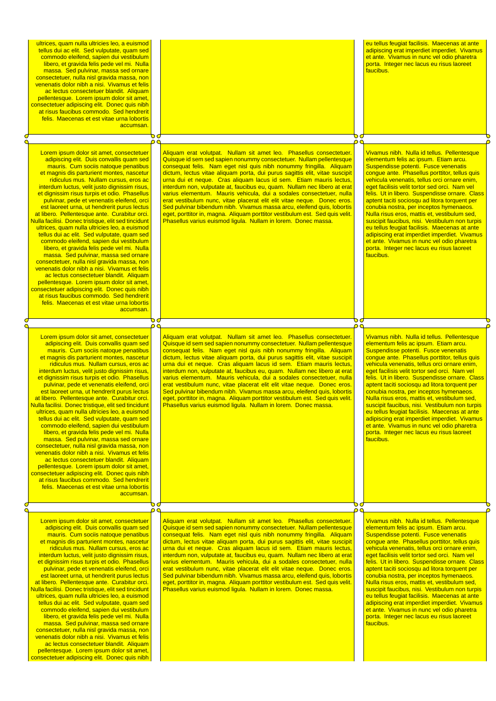| ultrices, quam nulla ultricies leo, a euismod<br>tellus dui ac elit. Sed vulputate, quam sed<br>commodo eleifend, sapien dui vestibulum<br>libero, et gravida felis pede vel mi. Nulla<br>massa. Sed pulvinar, massa sed ornare<br>consectetuer, nulla nisi gravida massa, non<br>venenatis dolor nibh a nisi. Vivamus et felis<br>ac lectus consectetuer blandit. Aliquam<br>pellentesque. Lorem ipsum dolor sit amet,<br>consectetuer adipiscing elit. Donec quis nibh<br>at risus faucibus commodo. Sed hendrerit<br>felis. Maecenas et est vitae urna lobortis<br>accumsan.                                                                                                                                                                                                                                                                                                                                                                                                                                                                                                                                    | ₻₫       |                                                                                                                                                                                                                                                                                                                                                                                                                                                                                                                                                                                                                                                                                                                                                                                                                                           | d O      | eu tellus feugiat facilisis. Maecenas at ante<br>adipiscing erat imperdiet imperdiet. Vivamus<br>et ante. Vivamus in nunc vel odio pharetra<br>porta. Integer nec lacus eu risus laoreet<br>faucibus.                                                                                                                                                                                                                                                                                                                                                                                                                                                                                                                                          |  |
|--------------------------------------------------------------------------------------------------------------------------------------------------------------------------------------------------------------------------------------------------------------------------------------------------------------------------------------------------------------------------------------------------------------------------------------------------------------------------------------------------------------------------------------------------------------------------------------------------------------------------------------------------------------------------------------------------------------------------------------------------------------------------------------------------------------------------------------------------------------------------------------------------------------------------------------------------------------------------------------------------------------------------------------------------------------------------------------------------------------------|----------|-------------------------------------------------------------------------------------------------------------------------------------------------------------------------------------------------------------------------------------------------------------------------------------------------------------------------------------------------------------------------------------------------------------------------------------------------------------------------------------------------------------------------------------------------------------------------------------------------------------------------------------------------------------------------------------------------------------------------------------------------------------------------------------------------------------------------------------------|----------|------------------------------------------------------------------------------------------------------------------------------------------------------------------------------------------------------------------------------------------------------------------------------------------------------------------------------------------------------------------------------------------------------------------------------------------------------------------------------------------------------------------------------------------------------------------------------------------------------------------------------------------------------------------------------------------------------------------------------------------------|--|
|                                                                                                                                                                                                                                                                                                                                                                                                                                                                                                                                                                                                                                                                                                                                                                                                                                                                                                                                                                                                                                                                                                                    | റ        |                                                                                                                                                                                                                                                                                                                                                                                                                                                                                                                                                                                                                                                                                                                                                                                                                                           | റ        |                                                                                                                                                                                                                                                                                                                                                                                                                                                                                                                                                                                                                                                                                                                                                |  |
| Lorem ipsum dolor sit amet, consectetuer<br>adipiscing elit. Duis convallis quam sed<br>mauris. Cum sociis natoque penatibus<br>et magnis dis parturient montes, nascetur<br>ridiculus mus. Nullam cursus, eros ac<br>interdum luctus, velit justo dignissim risus,<br>et dignissim risus turpis et odio. Phasellus<br>pulvinar, pede et venenatis eleifend, orci<br>est laoreet urna, ut hendrerit purus lectus<br>at libero. Pellentesque ante. Curabitur orci.<br>Nulla facilisi. Donec tristique, elit sed tincidunt<br>ultrices, quam nulla ultricies leo, a euismod<br>tellus dui ac elit. Sed vulputate, quam sed<br>commodo eleifend, sapien dui vestibulum<br>libero, et gravida felis pede vel mi. Nulla<br>massa. Sed pulvinar, massa sed ornare<br>consectetuer, nulla nisl gravida massa, non<br>venenatis dolor nibh a nisi. Vivamus et felis<br>ac lectus consectetuer blandit. Aliquam<br>pellentesque. Lorem ipsum dolor sit amet,<br>consectetuer adipiscing elit. Donec quis nibh<br>at risus faucibus commodo. Sed hendrerit<br>felis. Maecenas et est vitae urna lobortis<br>accumsan.        |          | Aliquam erat volutpat. Nullam sit amet leo. Phasellus consectetuer.<br>Quisque id sem sed sapien nonummy consectetuer. Nullam pellentesque<br>consequat felis. Nam eget nisl quis nibh nonummy fringilla. Aliquam<br>dictum, lectus vitae aliquam porta, dui purus sagittis elit, vitae suscipit<br>urna dui et neque. Cras aliquam lacus id sem. Etiam mauris lectus,<br>interdum non, vulputate at, faucibus eu, quam. Nullam nec libero at erat<br>varius elementum. Mauris vehicula, dui a sodales consectetuer, nulla<br>erat vestibulum nunc, vitae placerat elit elit vitae neque. Donec eros.<br>Sed pulvinar bibendum nibh. Vivamus massa arcu, eleifend quis, lobortis<br>eget, porttitor in, magna. Aliquam porttitor vestibulum est. Sed quis velit.<br>Phasellus varius euismod ligula. Nullam in lorem. Donec massa.        |          | Vivamus nibh. Nulla id tellus. Pellentesque<br>elementum felis ac ipsum. Etiam arcu.<br>Suspendisse potenti. Fusce venenatis<br>congue ante. Phasellus porttitor, tellus quis<br>vehicula venenatis, tellus orci ornare enim,<br>eget facilisis velit tortor sed orci. Nam vel<br>felis. Ut in libero. Suspendisse ornare. Class<br>aptent taciti sociosqu ad litora torquent per<br>conubia nostra, per inceptos hymenaeos.<br>Nulla risus eros, mattis et, vestibulum sed,<br>suscipit faucibus, nisi. Vestibulum non turpis<br>eu tellus feugiat facilisis. Maecenas at ante<br>adipiscing erat imperdiet imperdiet. Vivamus<br>et ante. Vivamus in nunc vel odio pharetra<br>porta. Integer nec lacus eu risus laoreet<br>faucibus.        |  |
|                                                                                                                                                                                                                                                                                                                                                                                                                                                                                                                                                                                                                                                                                                                                                                                                                                                                                                                                                                                                                                                                                                                    | ত        |                                                                                                                                                                                                                                                                                                                                                                                                                                                                                                                                                                                                                                                                                                                                                                                                                                           | 00       |                                                                                                                                                                                                                                                                                                                                                                                                                                                                                                                                                                                                                                                                                                                                                |  |
| Lorem ipsum dolor sit amet, consectetuer<br>adipiscing elit. Duis convallis quam sed<br>mauris. Cum sociis natoque penatibus<br>et magnis dis parturient montes, nascetur<br>ridiculus mus. Nullam cursus, eros ac<br>interdum luctus, velit justo dignissim risus,<br>et dignissim risus turpis et odio. Phasellus<br>pulvinar, pede et venenatis eleifend, orci<br>est laoreet urna, ut hendrerit purus lectus<br>at libero. Pellentesque ante. Curabitur orci.<br><u>Nulla facilisi. Donec tristique, elit sed tincidunt</u><br>ultrices, quam nulla ultricies leo, a euismod<br>tellus dui ac elit. Sed vulputate, quam sed<br>commodo eleifend, sapien dui vestibulum<br>libero, et gravida felis pede vel mi. Nulla<br>massa. Sed pulvinar, massa sed ornare<br>consectetuer, nulla nisl gravida massa, non<br>venenatis dolor nibh a nisi. Vivamus et felis<br>ac lectus consectetuer blandit. Aliquam<br>pellentesque. Lorem ipsum dolor sit amet,<br>consectetuer adipiscing elit. Donec quis nibh<br>at risus faucibus commodo. Sed hendrerit<br>felis. Maecenas et est vitae urna lobortis<br>accumsan. | 00<br>0d | Aliquam erat volutpat. Nullam sit amet leo. Phasellus consectetuer.<br>Quisque id sem sed sapien nonummy consectetuer. Nullam pellentesque<br>consequat felis. Nam eget nisl quis nibh nonummy fringilla. Aliquam<br>dictum, lectus vitae aliquam porta, dui purus sagittis elit, vitae suscipit<br>urna dui et neque. Cras aliquam lacus id sem. Etiam mauris lectus,<br>interdum non, vulputate at, faucibus eu, quam. Nullam nec libero at erat<br>varius elementum. Mauris vehicula, dui a sodales consectetuer, nulla<br>erat vestibulum nunc, vitae placerat elit elit vitae neque. Donec eros.<br>Sed pulvinar bibendum nibh. Vivamus massa arcu, eleifend quis, lobortis<br>eget, porttitor in, magna. Aliquam porttitor vestibulum est. Sed quis velit.<br><u>Phasellus varius euismod ligula. Nullam in lorem. Donec massa.</u> | ററ<br>⊃⊄ | Vivamus nibh. Nulla id tellus. Pellentesque<br>elementum felis ac ipsum. Etiam arcu.<br>Suspendisse potenti. Fusce venenatis<br>conque ante. Phasellus porttitor, tellus quis<br>vehicula venenatis, tellus orci ornare enim,<br>eget facilisis velit tortor sed orci. Nam vel<br>felis. Ut in libero. Suspendisse ornare. Class<br>aptent taciti sociosqu ad litora torquent per<br>conubia nostra, per inceptos hymenaeos.<br>Nulla risus eros, mattis et, vestibulum sed,<br><u>suscipit faucibus, nisi. Vestibulum non turpis</u><br>eu tellus feugiat facilisis. Maecenas at ante<br>adipiscing erat imperdiet imperdiet. Vivamus<br>et ante. Vivamus in nunc vel odio pharetra<br>porta. Integer nec lacus eu risus laoreet<br>faucibus. |  |
|                                                                                                                                                                                                                                                                                                                                                                                                                                                                                                                                                                                                                                                                                                                                                                                                                                                                                                                                                                                                                                                                                                                    | റ        |                                                                                                                                                                                                                                                                                                                                                                                                                                                                                                                                                                                                                                                                                                                                                                                                                                           | ρc       |                                                                                                                                                                                                                                                                                                                                                                                                                                                                                                                                                                                                                                                                                                                                                |  |
| Lorem ipsum dolor sit amet, consectetuer<br>adipiscing elit. Duis convallis quam sed<br>mauris. Cum sociis natoque penatibus<br>et magnis dis parturient montes, nascetur<br>ridiculus mus. Nullam cursus, eros ac<br>interdum luctus, velit justo dignissim risus,<br>et dignissim risus turpis et odio. Phasellus<br>pulvinar, pede et venenatis eleifend, orci<br>est laoreet urna, ut hendrerit purus lectus<br>at libero. Pellentesque ante. Curabitur orci.<br>Nulla facilisi. Donec tristique, elit sed tincidunt<br>ultrices, quam nulla ultricies leo, a euismod<br>tellus dui ac elit. Sed vulputate, quam sed<br>commodo eleifend, sapien dui vestibulum<br>libero, et gravida felis pede vel mi. Nulla<br>massa. Sed pulvinar, massa sed ornare<br>consectetuer, nulla nisl gravida massa, non<br>venenatis dolor nibh a nisi. Vivamus et felis<br>ac lectus consectetuer blandit. Aliquam                                                                                                                                                                                                             |          | Aliguam erat volutpat. Nullam sit amet leo. Phasellus consectetuer.<br>Quisque id sem sed sapien nonummy consectetuer. Nullam pellentesque<br>consequat felis. Nam eget nisl quis nibh nonummy fringilla. Aliquam<br>dictum, lectus vitae aliquam porta, dui purus sagittis elit, vitae suscipit<br>urna dui et neque. Cras aliquam lacus id sem. Etiam mauris lectus,<br>interdum non, vulputate at, faucibus eu, quam. Nullam nec libero at erat<br>varius elementum. Mauris vehicula, dui a sodales consectetuer, nulla<br>erat vestibulum nunc, vitae placerat elit elit vitae neque. Donec eros.<br>Sed pulvinar bibendum nibh. Vivamus massa arcu, eleifend quis, lobortis<br>eget, porttitor in, magna. Aliquam porttitor vestibulum est. Sed quis velit.<br>Phasellus varius euismod ligula. Nullam in lorem. Donec massa.        |          | Vivamus nibh. Nulla id tellus. Pellentesque<br>elementum felis ac ipsum. Etiam arcu.<br>Suspendisse potenti. Fusce venenatis<br>congue ante. Phasellus porttitor, tellus quis<br>vehicula venenatis, tellus orci ornare enim,<br>eget facilisis velit tortor sed orci. Nam vel<br>felis. Ut in libero. Suspendisse ornare. Class<br>aptent taciti sociosqu ad litora torquent per<br>conubia nostra, per inceptos hymenaeos.<br>Nulla risus eros, mattis et, vestibulum sed,<br>suscipit faucibus, nisi. Vestibulum non turpis<br>eu tellus feugiat facilisis. Maecenas at ante<br>adipiscing erat imperdiet imperdiet. Vivamus<br>et ante. Vivamus in nunc vel odio pharetra<br>porta. Integer nec lacus eu risus laoreet<br>faucibus.        |  |

pellentesque. Lorem ipsum dolor sit amet, consectetuer adipiscing elit. Donec quis nibh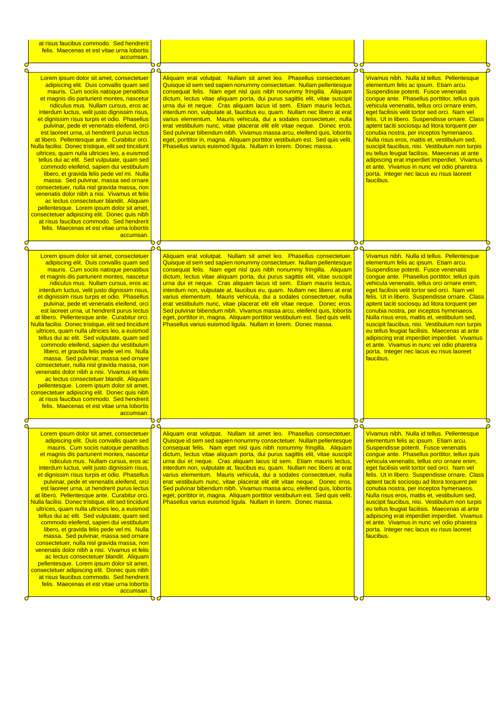| at risus faucibus commodo. Sed hendrerit<br>felis. Maecenas et est vitae urna lobortis                                                                                                                                                                                                                                                                                                                                                                                                                                                                                                                                                                                                                                                                                                                                                                                                                                                                                                                                                                                                                      |    |                                                                                                                                                                                                                                                                                                                                                                                                                                                                                                                                                                                                                                                                                                                                                                                                                                    |    |                                                                                                                                                                                                                                                                                                                                                                                                                                                                                                                                                                                                                                                                                                                                         |
|-------------------------------------------------------------------------------------------------------------------------------------------------------------------------------------------------------------------------------------------------------------------------------------------------------------------------------------------------------------------------------------------------------------------------------------------------------------------------------------------------------------------------------------------------------------------------------------------------------------------------------------------------------------------------------------------------------------------------------------------------------------------------------------------------------------------------------------------------------------------------------------------------------------------------------------------------------------------------------------------------------------------------------------------------------------------------------------------------------------|----|------------------------------------------------------------------------------------------------------------------------------------------------------------------------------------------------------------------------------------------------------------------------------------------------------------------------------------------------------------------------------------------------------------------------------------------------------------------------------------------------------------------------------------------------------------------------------------------------------------------------------------------------------------------------------------------------------------------------------------------------------------------------------------------------------------------------------------|----|-----------------------------------------------------------------------------------------------------------------------------------------------------------------------------------------------------------------------------------------------------------------------------------------------------------------------------------------------------------------------------------------------------------------------------------------------------------------------------------------------------------------------------------------------------------------------------------------------------------------------------------------------------------------------------------------------------------------------------------------|
| accumsan.                                                                                                                                                                                                                                                                                                                                                                                                                                                                                                                                                                                                                                                                                                                                                                                                                                                                                                                                                                                                                                                                                                   |    |                                                                                                                                                                                                                                                                                                                                                                                                                                                                                                                                                                                                                                                                                                                                                                                                                                    |    |                                                                                                                                                                                                                                                                                                                                                                                                                                                                                                                                                                                                                                                                                                                                         |
| Lorem ipsum dolor sit amet, consectetuer<br>adipiscing elit. Duis convallis quam sed<br>mauris. Cum sociis natoque penatibus<br>et magnis dis parturient montes, nascetur<br>ridiculus mus. Nullam cursus, eros ac<br>interdum luctus, velit justo dignissim risus,<br>et dignissim risus turpis et odio. Phasellus<br>pulvinar, pede et venenatis eleifend, orci<br>est laoreet urna, ut hendrerit purus lectus<br>at libero. Pellentesque ante. Curabitur orci.<br>Nulla facilisi. Donec tristique, elit sed tincidunt<br>ultrices, quam nulla ultricies leo, a euismod<br>tellus dui ac elit. Sed vulputate, quam sed<br>commodo eleifend, sapien dui vestibulum<br>libero, et gravida felis pede vel mi. Nulla<br>massa. Sed pulvinar, massa sed ornare<br>consectetuer, nulla nisl gravida massa, non<br>venenatis dolor nibh a nisi. Vivamus et felis<br>ac lectus consectetuer blandit. Aliquam<br>pellentesque. Lorem ipsum dolor sit amet,<br>consectetuer adipiscing elit. Donec quis nibh<br>at risus faucibus commodo. Sed hendrerit<br>felis. Maecenas et est vitae urna lobortis<br>accumsan. | 00 | Aliquam erat volutpat. Nullam sit amet leo. Phasellus consectetuer.<br>Quisque id sem sed sapien nonummy consectetuer. Nullam pellentesque<br>consequat felis. Nam eget nisl quis nibh nonummy fringilla. Aliquam<br>dictum, lectus vitae aliquam porta, dui purus sagittis elit, vitae suscipit<br>urna dui et neque. Cras aliquam lacus id sem. Etiam mauris lectus,<br>interdum non, vulputate at, faucibus eu, quam. Nullam nec libero at erat<br>varius elementum. Mauris vehicula, dui a sodales consectetuer, nulla<br>erat vestibulum nunc, vitae placerat elit elit vitae neque. Donec eros.<br>Sed pulvinar bibendum nibh. Vivamus massa arcu, eleifend quis, lobortis<br>eget, porttitor in, magna. Aliquam porttitor vestibulum est. Sed quis velit.<br>Phasellus varius euismod ligula. Nullam in lorem. Donec massa. | ⋼đ | Vivamus nibh. Nulla id tellus. Pellentesque<br>elementum felis ac ipsum. Etiam arcu.<br>Suspendisse potenti. Fusce venenatis<br>congue ante. Phasellus porttitor, tellus quis<br>vehicula venenatis, tellus orci ornare enim,<br>eget facilisis velit tortor sed orci. Nam vel<br>felis. Ut in libero. Suspendisse ornare. Class<br>aptent taciti sociosqu ad litora torquent per<br>conubia nostra, per inceptos hymenaeos.<br>Nulla risus eros, mattis et, vestibulum sed,<br>suscipit faucibus, nisi. Vestibulum non turpis<br>eu tellus feugiat facilisis. Maecenas at ante<br>adipiscing erat imperdiet imperdiet. Vivamus<br>et ante. Vivamus in nunc vel odio pharetra<br>porta. Integer nec lacus eu risus laoreet<br>faucibus. |
|                                                                                                                                                                                                                                                                                                                                                                                                                                                                                                                                                                                                                                                                                                                                                                                                                                                                                                                                                                                                                                                                                                             | ত  |                                                                                                                                                                                                                                                                                                                                                                                                                                                                                                                                                                                                                                                                                                                                                                                                                                    | ⊃⊂ |                                                                                                                                                                                                                                                                                                                                                                                                                                                                                                                                                                                                                                                                                                                                         |
| Lorem ipsum dolor sit amet, consectetuer<br>adipiscing elit. Duis convallis quam sed<br>mauris. Cum sociis natoque penatibus<br>et magnis dis parturient montes, nascetur<br>ridiculus mus. Nullam cursus, eros ac<br>interdum luctus, velit justo dignissim risus,<br>et dignissim risus turpis et odio. Phasellus<br>pulvinar, pede et venenatis eleifend, orci<br>est laoreet urna, ut hendrerit purus lectus<br>at libero. Pellentesque ante. Curabitur orci.<br>Nulla facilisi. Donec tristique, elit sed tincidunt<br>ultrices, quam nulla ultricies leo, a euismod<br>tellus dui ac elit. Sed vulputate, quam sed<br>commodo eleifend, sapien dui vestibulum<br>libero, et gravida felis pede vel mi. Nulla<br>massa. Sed pulvinar, massa sed ornare<br>consectetuer, nulla nisl gravida massa, non<br>venenatis dolor nibh a nisi. Vivamus et felis<br>ac lectus consectetuer blandit. Aliquam<br>pellentesque. Lorem ipsum dolor sit amet,<br>consectetuer adipiscing elit. Donec quis nibh<br>at risus faucibus commodo. Sed hendrerit<br>felis. Maecenas et est vitae urna lobortis<br>accumsan. |    | Aliquam erat volutpat. Nullam sit amet leo. Phasellus consectetuer.<br>Quisque id sem sed sapien nonummy consectetuer. Nullam pellentesque<br>consequat felis. Nam eget nisl quis nibh nonummy fringilla. Aliquam<br>dictum, lectus vitae aliquam porta, dui purus sagittis elit, vitae suscipit<br>urna dui et neque. Cras aliquam lacus id sem. Etiam mauris lectus,<br>interdum non, vulputate at, faucibus eu, quam. Nullam nec libero at erat<br>varius elementum. Mauris vehicula, dui a sodales consectetuer, nulla<br>erat vestibulum nunc, vitae placerat elit elit vitae neque. Donec eros.<br>Sed pulvinar bibendum nibh. Vivamus massa arcu, eleifend quis, lobortis<br>eget, porttitor in, magna. Aliquam porttitor vestibulum est. Sed quis velit.<br>Phasellus varius euismod ligula. Nullam in lorem. Donec massa. |    | Vivamus nibh. Nulla id tellus. Pellentesque<br>elementum felis ac ipsum. Etiam arcu.<br>Suspendisse potenti. Fusce venenatis<br>congue ante. Phasellus porttitor, tellus quis<br>vehicula venenatis, tellus orci ornare enim,<br>eget facilisis velit tortor sed orci. Nam vel<br>felis. Ut in libero. Suspendisse ornare. Class<br>aptent taciti sociosqu ad litora torquent per<br>conubia nostra, per inceptos hymenaeos.<br>Nulla risus eros, mattis et, vestibulum sed,<br>suscipit faucibus, nisi. Vestibulum non turpis<br>eu tellus feugiat facilisis. Maecenas at ante<br>adipiscing erat imperdiet imperdiet. Vivamus<br>et ante. Vivamus in nunc vel odio pharetra<br>porta. Integer nec lacus eu risus laoreet<br>faucibus. |
|                                                                                                                                                                                                                                                                                                                                                                                                                                                                                                                                                                                                                                                                                                                                                                                                                                                                                                                                                                                                                                                                                                             |    |                                                                                                                                                                                                                                                                                                                                                                                                                                                                                                                                                                                                                                                                                                                                                                                                                                    |    |                                                                                                                                                                                                                                                                                                                                                                                                                                                                                                                                                                                                                                                                                                                                         |
| Lorem ipsum dolor sit amet, consectetuer<br>adipiscing elit. Duis convallis quam sed<br>mauris. Cum sociis natoque penatibus<br>et magnis dis parturient montes, nascetur<br>ridiculus mus. Nullam cursus, eros ac<br>interdum luctus, velit justo dignissim risus,<br>et dignissim risus turpis et odio. Phasellus<br>pulvinar, pede et venenatis eleifend, orci<br>est laoreet urna, ut hendrerit purus lectus<br>at libero. Pellentesque ante. Curabitur orci.<br>Nulla facilisi. Donec tristique, elit sed tincidunt<br>ultrices, quam nulla ultricies leo, a euismod<br>tellus dui ac elit. Sed vulputate, quam sed<br>commodo eleifend, sapien dui vestibulum<br>libero, et gravida felis pede vel mi. Nulla<br>massa. Sed pulvinar, massa sed ornare<br>consectetuer, nulla nisl gravida massa, non<br>venenatis dolor nibh a nisi. Vivamus et felis<br>ac lectus consectetuer blandit. Aliquam<br>pellentesque. Lorem ipsum dolor sit amet,<br>consectetuer adipiscing elit. Donec quis nibh<br>at risus faucibus commodo. Sed hendrerit<br>felis. Maecenas et est vitae urna lobortis<br>accumsan. |    | Aliquam erat volutpat. Nullam sit amet leo. Phasellus consectetuer.<br>Quisque id sem sed sapien nonummy consectetuer. Nullam pellentesque<br>consequat felis. Nam eget nisl quis nibh nonummy fringilla. Aliquam<br>dictum, lectus vitae aliquam porta, dui purus sagittis elit, vitae suscipit<br>urna dui et neque. Cras aliquam lacus id sem. Etiam mauris lectus,<br>interdum non, vulputate at, faucibus eu, quam. Nullam nec libero at erat<br>varius elementum. Mauris vehicula, dui a sodales consectetuer, nulla<br>erat vestibulum nunc, vitae placerat elit elit vitae neque. Donec eros.<br>Sed pulvinar bibendum nibh. Vivamus massa arcu, eleifend quis, lobortis<br>eget, porttitor in, magna. Aliquam porttitor vestibulum est. Sed quis velit.<br>Phasellus varius euismod ligula. Nullam in lorem. Donec massa. |    | Vivamus nibh. Nulla id tellus. Pellentesque<br>elementum felis ac ipsum. Etiam arcu.<br>Suspendisse potenti. Fusce venenatis<br>congue ante. Phasellus porttitor, tellus quis<br>vehicula venenatis, tellus orci ornare enim,<br>eget facilisis velit tortor sed orci. Nam vel<br>felis. Ut in libero. Suspendisse ornare. Class<br>aptent taciti sociosqu ad litora torquent per<br>conubia nostra, per inceptos hymenaeos.<br>Nulla risus eros, mattis et, vestibulum sed,<br>suscipit faucibus, nisi. Vestibulum non turpis<br>eu tellus feugiat facilisis. Maecenas at ante<br>adipiscing erat imperdiet imperdiet. Vivamus<br>et ante. Vivamus in nunc vel odio pharetra<br>porta. Integer nec lacus eu risus laoreet<br>faucibus. |
|                                                                                                                                                                                                                                                                                                                                                                                                                                                                                                                                                                                                                                                                                                                                                                                                                                                                                                                                                                                                                                                                                                             | চa |                                                                                                                                                                                                                                                                                                                                                                                                                                                                                                                                                                                                                                                                                                                                                                                                                                    | οo |                                                                                                                                                                                                                                                                                                                                                                                                                                                                                                                                                                                                                                                                                                                                         |